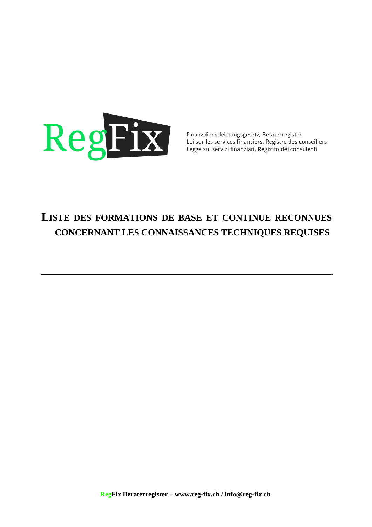

Finanzdienstleistungsgesetz, Beraterregister Loi sur les services financiers, Registre des conseillers Legge sui servizi finanziari, Registro dei consulenti

## **LISTE DES FORMATIONS DE BASE ET CONTINUE RECONNUES CONCERNANT LES CONNAISSANCES TECHNIQUES REQUISES**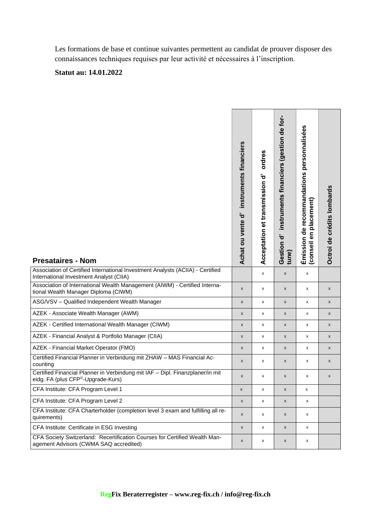Les formations de base et continue suivantes permettent au candidat de prouver disposer des connaissances techniques requises par leur activité et nécessaires à l'inscription.

## **Statut au: 14.01.2022**

| <b>Presataires - Nom</b>                                                                                                        | instruments financiers<br>ᡠ<br><b>Achat ou vente</b> | ordres<br>Acceptation et transmission d' | instruments financiers (gestion de for-<br>Gestion d'<br>tune) | Émission de recommandations personnalisées<br>placement)<br>θN<br>(conseil | Octroi de crédits lombards |
|---------------------------------------------------------------------------------------------------------------------------------|------------------------------------------------------|------------------------------------------|----------------------------------------------------------------|----------------------------------------------------------------------------|----------------------------|
| Association of Certified International Investment Analysts (ACIIA) - Certified<br>International Investment Analyst (CIIA)       |                                                      | x                                        | X                                                              | x                                                                          |                            |
| Association of International Wealth Management (AIWM) - Certified Interna-<br>tional Wealth Manager Diploma (CIWM)              | $\pmb{\mathsf{x}}$                                   | x                                        | X                                                              | x                                                                          | $\pmb{\mathsf{x}}$         |
| ASG/VSV - Qualified Independent Wealth Manager                                                                                  | $\pmb{\mathsf{x}}$                                   | x                                        | X                                                              | x                                                                          | $\pmb{\mathsf{x}}$         |
| AZEK - Associate Wealth Manager (AWM)                                                                                           | X                                                    | x                                        | X                                                              | x                                                                          | X                          |
| AZEK - Certified International Wealth Manager (CIWM)                                                                            | x                                                    | X                                        | $\pmb{\times}$                                                 | X                                                                          | X                          |
| AZEK - Financial Analyst & Portfolio Manager (CIIA)                                                                             | X                                                    | x                                        | X                                                              | x                                                                          | X                          |
| AZEK - Financial Market Operator (FMO)                                                                                          | X                                                    | x                                        | x                                                              | x                                                                          | X                          |
| Certified Financial Planner in Verbindung mit ZHAW - MAS Financial Ac-<br>counting                                              | X                                                    | x                                        | X                                                              | x                                                                          | X                          |
| Certified Financial Planner in Verbindung mit IAF - Dipl. Finanzplaner/in mit<br>eidg. FA (plus CFP <sup>©</sup> -Upgrade-Kurs) | X                                                    | x                                        | x                                                              | x                                                                          | X                          |
| CFA Institute: CFA Program Level 1                                                                                              | x                                                    | х                                        | x                                                              | x                                                                          |                            |
| CFA Institute: CFA Program Level 2                                                                                              | X                                                    | x                                        | X                                                              | x                                                                          |                            |
| CFA Institute: CFA Charterholder (completion level 3 exam and fulfilling all re-<br>quirements)                                 | X                                                    | x                                        | X                                                              | x                                                                          |                            |
| CFA Institute: Certificate in ESG Investing                                                                                     | X                                                    | x                                        | X                                                              | X                                                                          |                            |
| CFA Society Switzerland: Recertification Courses for Certified Wealth Man-<br>agement Advisors (CWMA SAQ accredited)            | X                                                    | x                                        | X                                                              | x                                                                          |                            |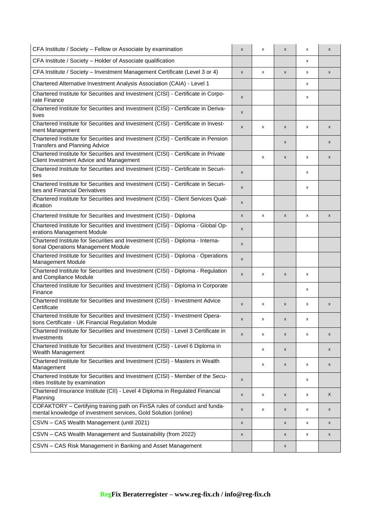| CFA Institute / Society - Fellow or Associate by examination                                                                                 | X                  | X | $\pmb{\mathsf{x}}$ | x | X                  |
|----------------------------------------------------------------------------------------------------------------------------------------------|--------------------|---|--------------------|---|--------------------|
| CFA Institute / Society - Holder of Associate qualification                                                                                  |                    |   |                    | x |                    |
| CFA Institute / Society - Investment Management Certificate (Level 3 or 4)                                                                   | $\pmb{\mathsf{x}}$ | X | $\pmb{\mathsf{x}}$ | x | $\pmb{\mathsf{x}}$ |
| Chartered Alternative Investment Analysis Association (CAIA) - Level 1                                                                       |                    |   |                    | x |                    |
| Chartered Institute for Securities and Investment (CISI) - Certificate in Corpo-<br>rate Finance                                             | X                  |   |                    | x |                    |
| Chartered Institute for Securities and Investment (CISI) - Certificate in Deriva-<br>tives                                                   | X                  |   |                    |   |                    |
| Chartered Institute for Securities and Investment (CISI) - Certificate in Invest-<br>ment Management                                         | X                  | x | X                  | x | X                  |
| Chartered Institute for Securities and Investment (CISI) - Certificate in Pension<br><b>Transfers and Planning Advice</b>                    |                    |   | X                  |   | X                  |
| Chartered Institute for Securities and Investment (CISI) - Certificate in Private<br>Client Investment Advice and Management                 |                    | x | X                  | x | X                  |
| Chartered Institute for Securities and Investment (CISI) - Certificate in Securi-<br>ties                                                    | X                  |   |                    | x |                    |
| Chartered Institute for Securities and Investment (CISI) - Certificate in Securi-<br>ties and Financial Derivatives                          | X                  |   |                    | x |                    |
| Chartered Institute for Securities and Investment (CISI) - Client Services Qual-<br>ification                                                | X                  |   |                    |   |                    |
| Chartered Institute for Securities and Investment (CISI) - Diploma                                                                           | $\pmb{\times}$     | X | $\pmb{\mathsf{x}}$ | x | $\pmb{\mathsf{x}}$ |
| Chartered Institute for Securities and Investment (CISI) - Diploma - Global Op-<br>erations Management Module                                | X                  |   |                    |   |                    |
| Chartered Institute for Securities and Investment (CISI) - Diploma - Interna-<br>tional Operations Management Module                         | $\pmb{\mathsf{x}}$ |   |                    |   |                    |
| Chartered Institute for Securities and Investment (CISI) - Diploma - Operations<br><b>Management Module</b>                                  | X                  |   |                    |   |                    |
| Chartered Institute for Securities and Investment (CISI) - Diploma - Regulation<br>and Compliance Module                                     | X                  | х | X                  | x |                    |
| Chartered Institute for Securities and Investment (CISI) - Diploma in Corporate<br>Finance                                                   |                    |   |                    | x |                    |
| Chartered Institute for Securities and Investment (CISI) - Investment Advice<br>Certificate                                                  | $\pmb{\mathsf{x}}$ | х | $\pmb{\mathsf{x}}$ | x | X                  |
| Chartered Institute for Securities and Investment (CISI) - Investment Opera-<br>tions Certificate - UK Financial Regulation Module           | X                  | х | $\pmb{\mathsf{x}}$ | x |                    |
| Chartered Institute for Securities and Investment (CISI) - Level 3 Certificate in<br>Investments                                             | X                  | х | $\pmb{\mathsf{x}}$ | x | x                  |
| Chartered Institute for Securities and Investment (CISI) - Level 6 Diploma in<br>Wealth Management                                           |                    | x | $\pmb{\mathsf{x}}$ |   | X                  |
| Chartered Institute for Securities and Investment (CISI) - Masters in Wealth<br>Management                                                   |                    | x | $\pmb{\mathsf{x}}$ | x | X                  |
| Chartered Institute for Securities and Investment (CISI) - Member of the Secu-<br>rities Institute by examination                            | X                  |   |                    | x |                    |
| Chartered Insurance Institute (CII) - Level 4 Diploma in Regulated Financial<br>Planning                                                     | X                  | X | $\pmb{\mathsf{x}}$ | x | X                  |
| COFAKTORY - Certifying training path on FinSA rules of conduct and funda-<br>mental knowledge of investment services, Gold Solution (online) | X                  | x | X                  | x | X                  |
| CSVN - CAS Wealth Management (until 2021)                                                                                                    | X                  |   | $\pmb{\mathsf{X}}$ | x | x                  |
| CSVN - CAS Wealth Management and Sustainability (from 2022)                                                                                  | x                  |   | $\pmb{\mathsf{x}}$ | x | x                  |
| CSVN - CAS Risk Management in Banking and Asset Management                                                                                   |                    |   | X                  |   |                    |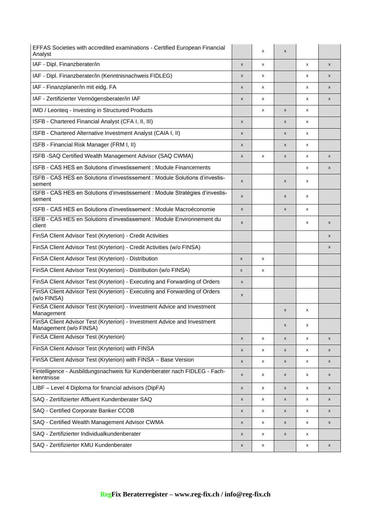| EFFAS Societies with accredited examinations - Certified European Financial<br>Analyst             |                    | x | $\boldsymbol{\mathsf{x}}$ |   |                    |
|----------------------------------------------------------------------------------------------------|--------------------|---|---------------------------|---|--------------------|
| IAF - Dipl. Finanzberater/in                                                                       | X                  | x |                           | x | $\pmb{\mathsf{x}}$ |
| IAF - Dipl. Finanzberater/in (Kenntnisnachweis FIDLEG)                                             | x                  | x |                           | x | X                  |
| IAF - Finanzplaner/in mit eidg. FA                                                                 | x                  | x |                           | x | X                  |
| IAF - Zertifizierter Vermögensberater/in IAF                                                       | x                  | x |                           | x | $\pmb{\mathsf{x}}$ |
| IMD / Leonteq - Investing in Structured Products                                                   |                    | x | $\pmb{\times}$            | x |                    |
| ISFB - Chartered Financial Analyst (CFA I, II, III)                                                | x                  |   | X                         | x |                    |
| ISFB - Chartered Alternative Investment Analyst (CAIA I, II)                                       | x                  |   | $\pmb{\times}$            | x |                    |
| ISFB - Financial Risk Manager (FRM I, II)                                                          | x                  |   | $\pmb{\times}$            | x |                    |
| ISFB - SAQ Certified Wealth Management Advisor (SAQ CWMA)                                          | X                  | x | X                         | x | $\pmb{\mathsf{x}}$ |
| ISFB - CAS HES en Solutions d'investissement : Module Financements                                 |                    |   |                           | x | X                  |
| ISFB - CAS HES en Solutions d'investissement : Module Solutions d'investis-<br>sement              | x                  |   | X                         | x |                    |
| ISFB - CAS HES en Solutions d'investissement : Module Stratégies d'investis-<br>sement             | x                  |   | X                         | x |                    |
| ISFB - CAS HES en Solutions d'investissement : Module Macroéconomie                                | x                  |   | $\boldsymbol{\mathsf{x}}$ | x |                    |
| ISFB - CAS HES en Solutions d'investissement : Module Environnement du<br>client                   | X                  |   |                           | x | $\pmb{\mathsf{x}}$ |
| FinSA Client Advisor Test (Kryterion) - Credit Activities                                          |                    |   |                           |   | $\pmb{\mathsf{x}}$ |
| FinSA Client Advisor Test (Kryterion) - Credit Activities (w/o FINSA)                              |                    |   |                           |   | $\pmb{\mathsf{x}}$ |
| FinSA Client Advisor Test (Kryterion) - Distribution                                               | $\pmb{\mathsf{x}}$ | x |                           |   |                    |
| FinSA Client Advisor Test (Kryterion) - Distribution (w/o FINSA)                                   | X                  | x |                           |   |                    |
| FinSA Client Advisor Test (Kryterion) - Executing and Forwarding of Orders                         | X                  |   |                           |   |                    |
| FinSA Client Advisor Test (Kryterion) - Executing and Forwarding of Orders<br>(w/o FINSA)          | X                  |   |                           |   |                    |
| FinSA Client Advisor Test (Kryterion) - Investment Advice and Investment<br>Management             |                    |   | $\pmb{\times}$            | x |                    |
| FinSA Client Advisor Test (Kryterion) - Investment Advice and Investment<br>Management (w/o FINSA) |                    |   | $\pmb{\mathsf{x}}$        | X |                    |
| FinSA Client Advisor Test (Kryterion)                                                              | $\pmb{\mathsf{x}}$ | x | $\pmb{\mathsf{x}}$        | x | X                  |
| FinSA Client Advisor Test (Kryterion) with FINSA                                                   | x                  | x | $\pmb{\times}$            | x | X                  |
| FinSA Client Advisor Test (Kryterion) with FINSA - Base Version                                    | x                  | x | $\pmb{\times}$            | x | X                  |
| Fintelligence - Ausbildungsnachweis für Kundenberater nach FIDLEG - Fach-<br>kenntnisse            | X                  | x | $\pmb{\times}$            | x | $\pmb{\mathsf{x}}$ |
| LIBF - Level 4 Diploma for financial advisors (DipFA)                                              | x                  | x | $\pmb{\times}$            | x | $\pmb{\mathsf{x}}$ |
| SAQ - Zertifizierter Affluent Kundenberater SAQ                                                    | x                  | x | $\pmb{\mathsf{x}}$        | x | X                  |
| SAQ - Certified Corporate Banker CCOB                                                              | x                  | x | X                         | x | X                  |
| SAQ - Certified Wealth Management Advisor CWMA                                                     | x                  | x | $\pmb{\times}$            | x | X                  |
| SAQ - Zertifizierter Individualkundenberater                                                       | X                  | x | $\pmb{\times}$            | x |                    |
| SAQ - Zertifizierter KMU Kundenberater                                                             | x                  | x |                           | x | X                  |